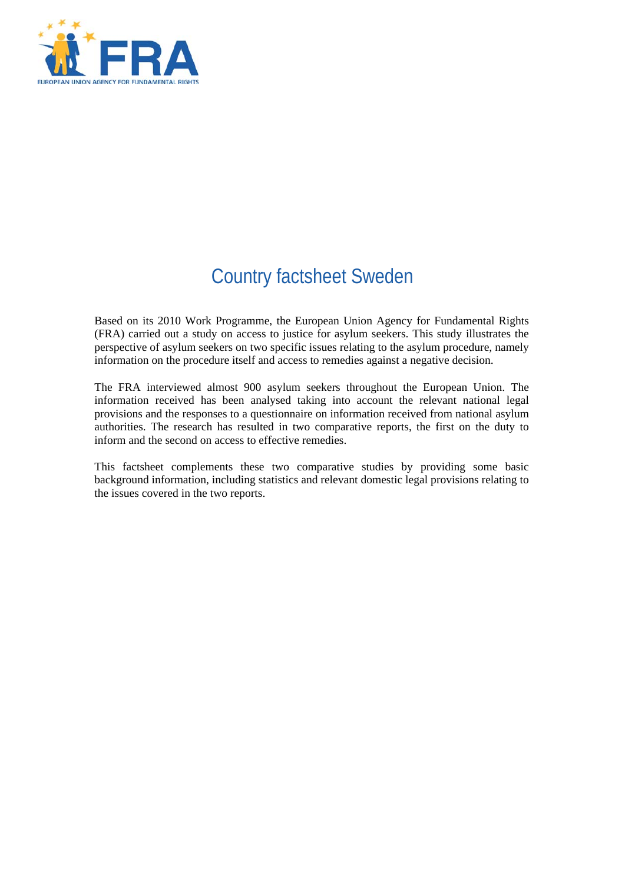

# Country factsheet Sweden

Based on its 2010 Work Programme, the European Union Agency for Fundamental Rights (FRA) carried out a study on access to justice for asylum seekers. This study illustrates the perspective of asylum seekers on two specific issues relating to the asylum procedure, namely information on the procedure itself and access to remedies against a negative decision.

The FRA interviewed almost 900 asylum seekers throughout the European Union. The information received has been analysed taking into account the relevant national legal provisions and the responses to a questionnaire on information received from national asylum authorities. The research has resulted in two comparative reports, the first on the duty to inform and the second on access to effective remedies.

This factsheet complements these two comparative studies by providing some basic background information, including statistics and relevant domestic legal provisions relating to the issues covered in the two reports.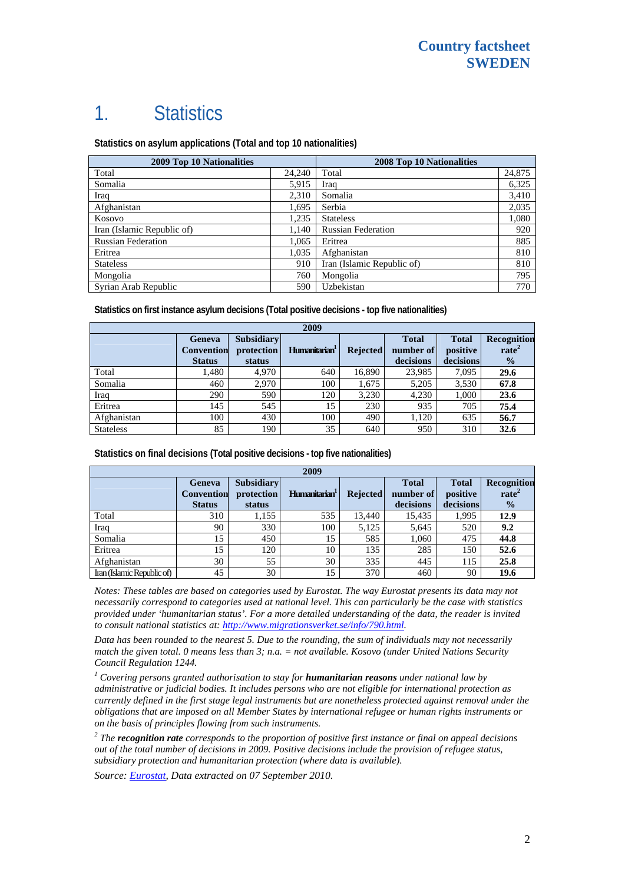# 1. Statistics

**Statistics on asylum applications (Total and top 10 nationalities)**

| <b>2009 Top 10 Nationalities</b> |        | <b>2008 Top 10 Nationalities</b> |        |  |
|----------------------------------|--------|----------------------------------|--------|--|
| Total                            | 24,240 | Total                            | 24,875 |  |
| Somalia                          | 5,915  | Iraq                             | 6,325  |  |
| Iraq                             | 2,310  | Somalia                          | 3,410  |  |
| Afghanistan                      | 1.695  | Serbia                           | 2,035  |  |
| Kosovo                           | 1,235  | <b>Stateless</b>                 | 1,080  |  |
| Iran (Islamic Republic of)       | 1,140  | <b>Russian Federation</b>        | 920    |  |
| <b>Russian Federation</b>        | 1,065  | Eritrea                          | 885    |  |
| Eritrea                          | 1,035  | Afghanistan                      | 810    |  |
| <b>Stateless</b>                 | 910    | Iran (Islamic Republic of)       | 810    |  |
| Mongolia                         | 760    | Mongolia                         | 795    |  |
| Syrian Arab Republic             | 590    | Uzbekistan                       | 770    |  |

**Statistics on first instance asylum decisions (Total positive decisions - top five nationalities)** 

| 2009             |                                              |                                           |                           |                 |                                        |                                       |                                                          |
|------------------|----------------------------------------------|-------------------------------------------|---------------------------|-----------------|----------------------------------------|---------------------------------------|----------------------------------------------------------|
|                  | Geneva<br><b>Convention</b><br><b>Status</b> | <b>Subsidiary</b><br>protection<br>status | Humanitarian <sup>1</sup> | <b>Rejected</b> | <b>Total</b><br>number of<br>decisions | <b>Total</b><br>positive<br>decisions | <b>Recognition</b><br>rate <sup>2</sup><br>$\frac{1}{2}$ |
| Total            | 1,480                                        | 4.970                                     | 640                       | 16.890          | 23,985                                 | 7,095                                 | 29.6                                                     |
| Somalia          | 460                                          | 2,970                                     | 100                       | 1,675           | 5,205                                  | 3,530                                 | 67.8                                                     |
| Iraq             | 290                                          | 590                                       | 120                       | 3,230           | 4,230                                  | 1,000                                 | 23.6                                                     |
| Eritrea          | 145                                          | 545                                       | 15                        | 230             | 935                                    | 705                                   | 75.4                                                     |
| Afghanistan      | 100                                          | 430                                       | 100                       | 490             | 1,120                                  | 635                                   | 56.7                                                     |
| <b>Stateless</b> | 85                                           | 190                                       | 35                        | 640             | 950                                    | 310                                   | 32.6                                                     |

**Statistics on final decisions (Total positive decisions - top five nationalities)** 

| 2009                       |                                                     |                                           |                           |                 |                                        |                                       |                                                   |
|----------------------------|-----------------------------------------------------|-------------------------------------------|---------------------------|-----------------|----------------------------------------|---------------------------------------|---------------------------------------------------|
|                            | <b>Geneva</b><br><b>Convention</b><br><b>Status</b> | <b>Subsidiary</b><br>protection<br>status | Humanitarian <sup>1</sup> | <b>Rejected</b> | <b>Total</b><br>number of<br>decisions | <b>Total</b><br>positive<br>decisions | Recognition<br>rate <sup>2</sup><br>$\frac{0}{0}$ |
| Total                      | 310                                                 | 1,155                                     | 535                       | 13.440          | 15.435                                 | 1.995                                 | 12.9                                              |
| Iraq                       | 90                                                  | 330                                       | 100                       | 5.125           | 5,645                                  | 520                                   | 9.2                                               |
| Somalia                    | 15                                                  | 450                                       | 15                        | 585             | 1.060                                  | 475                                   | 44.8                                              |
| Eritrea                    | 15                                                  | 120                                       | 10                        | 135             | 285                                    | 150                                   | 52.6                                              |
| Afghanistan                | 30                                                  | 55                                        | 30                        | 335             | 445                                    | 115                                   | 25.8                                              |
| Iran (Islamic Republic of) | 45                                                  | 30                                        | 15                        | 370             | 460                                    | 90                                    | 19.6                                              |

*Notes: These tables are based on categories used by Eurostat. The way Eurostat presents its data may not necessarily correspond to categories used at national level. This can particularly be the case with statistics provided under 'humanitarian status'. For a more detailed understanding of the data, the reader is invited to consult national statistics at: [http://www.migrationsverket.se/info/790.html.](http://www.migrationsverket.se/info/790.html)* 

*Data has been rounded to the nearest 5. Due to the rounding, the sum of individuals may not necessarily match the given total. 0 means less than 3; n.a. = not available. Kosovo (under United Nations Security Council Regulation 1244.* 

<sup>1</sup> Covering persons granted authorisation to stay for **humanitarian reasons** under national law by *administrative or judicial bodies. It includes persons who are not eligible for international protection as currently defined in the first stage legal instruments but are nonetheless protected against removal under the obligations that are imposed on all Member States by international refugee or human rights instruments or on the basis of principles flowing from such instruments.* 

*2 The recognition rate corresponds to the proportion of positive first instance or final on appeal decisions out of the total number of decisions in 2009. Positive decisions include the provision of refugee status, subsidiary protection and humanitarian protection (where data is available).* 

*Source: [Eurostat](http://epp.eurostat.ec.europa.eu/), Data extracted on 07 September 2010.*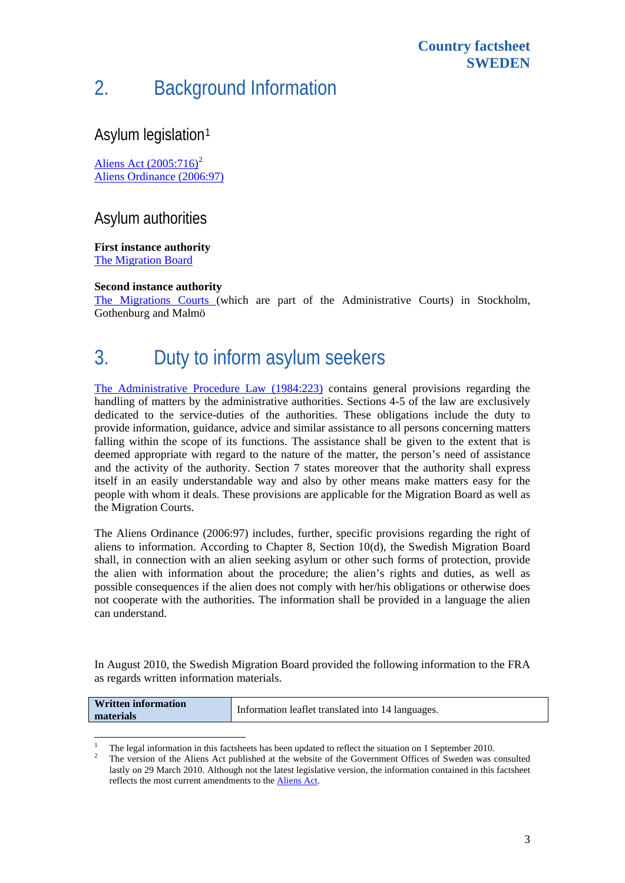# 2. Background Information

#### Asylum legislation[1](#page-2-0)

Aliens Act  $(2005:716)^2$  $(2005:716)^2$  $(2005:716)^2$ [Aliens Ordinance \(2006:97\)](http://www.sweden.gov.se/content/1/c6/07/56/18/7cbd265a.pdf)

#### Asylum authorities

**First instance authority** 

[The Migration Board](http://www.migrationsverket.se/info/start_en.html)

1

#### **Second instance authority**

[The Migrations Courts](http://www.domstol.se/templates/DV_InfoPage____2625.aspx) (which are part of the Administrative Courts) in Stockholm, Gothenburg and Malmö

### 3. Duty to inform asylum seekers

[The Administrative Procedure Law \(1984:223\)](http://www.sweden.gov.se/content/1/c6/06/48/92/a02dc523.pdf) contains general provisions regarding the handling of matters by the administrative authorities. Sections 4-5 of the law are exclusively dedicated to the service-duties of the authorities. These obligations include the duty to provide information, guidance, advice and similar assistance to all persons concerning matters falling within the scope of its functions. The assistance shall be given to the extent that is deemed appropriate with regard to the nature of the matter, the person's need of assistance and the activity of the authority. Section 7 states moreover that the authority shall express itself in an easily understandable way and also by other means make matters easy for the people with whom it deals. These provisions are applicable for the Migration Board as well as the Migration Courts.

The Aliens Ordinance (2006:97) includes, further, specific provisions regarding the right of aliens to information. According to Chapter 8, Section 10(d), the Swedish Migration Board shall, in connection with an alien seeking asylum or other such forms of protection, provide the alien with information about the procedure; the alien's rights and duties, as well as possible consequences if the alien does not comply with her/his obligations or otherwise does not cooperate with the authorities. The information shall be provided in a language the alien can understand.

In August 2010, the Swedish Migration Board provided the following information to the FRA as regards written information materials.

| <b>Written information</b> | Information leaflet translated into 14 languages. |
|----------------------------|---------------------------------------------------|
| materials                  |                                                   |

<span id="page-2-1"></span><span id="page-2-0"></span><sup>1</sup> The legal information in this factsheets has been updated to reflect the situation on 1 September 2010.

The version of the Aliens Act published at the website of the Government Offices of Sweden was consulted lastly on 29 March 2010. Although not the latest legislative version, the information contained in this factsheet reflects the most current amendments to the [Aliens Act.](http://www.notisum.se/Rnp/sls/fakta/a0050716.htm)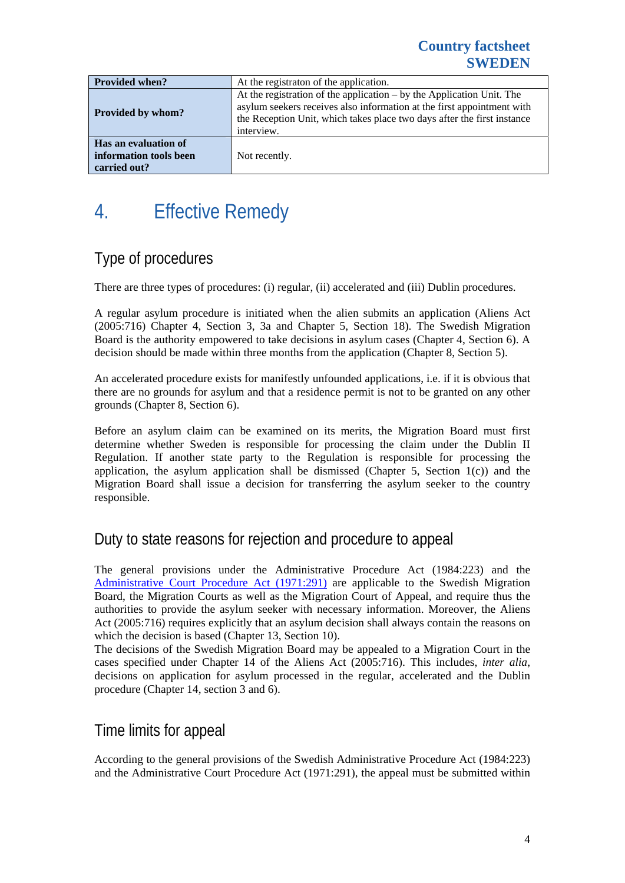| <b>Provided when?</b>                                          | At the registration of the application.                                                                                                                                                                                                    |  |  |
|----------------------------------------------------------------|--------------------------------------------------------------------------------------------------------------------------------------------------------------------------------------------------------------------------------------------|--|--|
| <b>Provided by whom?</b>                                       | At the registration of the application $-$ by the Application Unit. The<br>asylum seekers receives also information at the first appointment with<br>the Reception Unit, which takes place two days after the first instance<br>interview. |  |  |
| Has an evaluation of<br>information tools been<br>carried out? | Not recently.                                                                                                                                                                                                                              |  |  |

# 4. Effective Remedy

### Type of procedures

There are three types of procedures: (i) regular, (ii) accelerated and (iii) Dublin procedures.

A regular asylum procedure is initiated when the alien submits an application (Aliens Act (2005:716) Chapter 4, Section 3, 3a and Chapter 5, Section 18). The Swedish Migration Board is the authority empowered to take decisions in asylum cases (Chapter 4, Section 6). A decision should be made within three months from the application (Chapter 8, Section 5).

An accelerated procedure exists for manifestly unfounded applications, i.e. if it is obvious that there are no grounds for asylum and that a residence permit is not to be granted on any other grounds (Chapter 8, Section 6).

Before an asylum claim can be examined on its merits, the Migration Board must first determine whether Sweden is responsible for processing the claim under the Dublin II Regulation. If another state party to the Regulation is responsible for processing the application, the asylum application shall be dismissed (Chapter 5, Section  $1(c)$ ) and the Migration Board shall issue a decision for transferring the asylum seeker to the country responsible.

### Duty to state reasons for rejection and procedure to appeal

The general provisions under the Administrative Procedure Act (1984:223) and the [Administrative Court Procedure Act \(1971:291\)](http://www.sweden.gov.se/content/1/c6/02/61/43/7d1cf048.pdf) are applicable to the Swedish Migration Board, the Migration Courts as well as the Migration Court of Appeal, and require thus the authorities to provide the asylum seeker with necessary information. Moreover, the Aliens Act (2005:716) requires explicitly that an asylum decision shall always contain the reasons on which the decision is based (Chapter 13, Section 10).

The decisions of the Swedish Migration Board may be appealed to a Migration Court in the cases specified under Chapter 14 of the Aliens Act (2005:716). This includes, *inter alia*, decisions on application for asylum processed in the regular, accelerated and the Dublin procedure (Chapter 14, section 3 and 6).

#### Time limits for appeal

According to the general provisions of the Swedish Administrative Procedure Act (1984:223) and the Administrative Court Procedure Act (1971:291), the appeal must be submitted within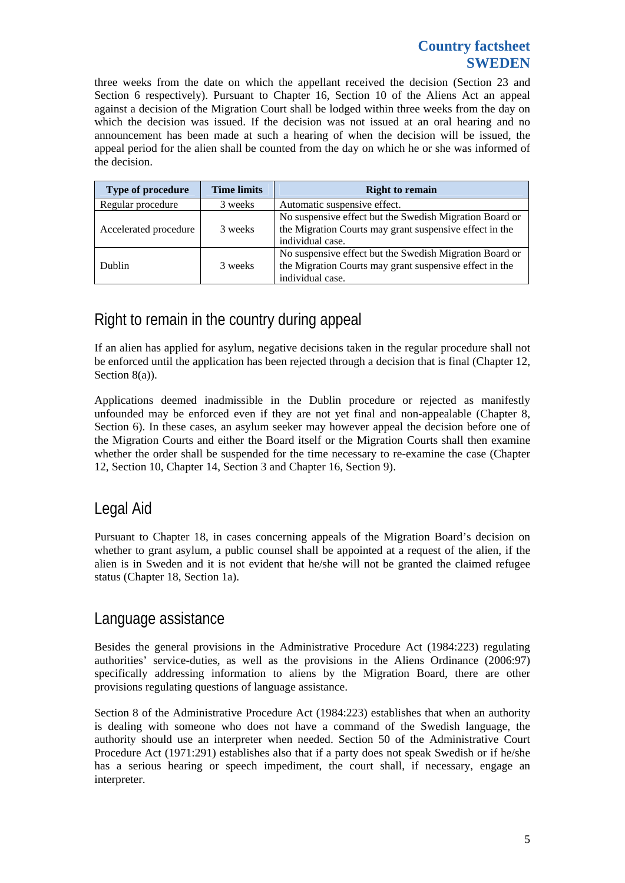#### **Country factsheet SWEDEN**

three weeks from the date on which the appellant received the decision (Section 23 and Section 6 respectively). Pursuant to Chapter 16, Section 10 of the Aliens Act an appeal against a decision of the Migration Court shall be lodged within three weeks from the day on which the decision was issued. If the decision was not issued at an oral hearing and no announcement has been made at such a hearing of when the decision will be issued, the appeal period for the alien shall be counted from the day on which he or she was informed of the decision.

| <b>Type of procedure</b> | <b>Time limits</b> | <b>Right to remain</b>                                                                                                                 |
|--------------------------|--------------------|----------------------------------------------------------------------------------------------------------------------------------------|
| Regular procedure        | 3 weeks            | Automatic suspensive effect.                                                                                                           |
| Accelerated procedure    | 3 weeks            | No suspensive effect but the Swedish Migration Board or<br>the Migration Courts may grant suspensive effect in the<br>individual case. |
| Dublin                   | 3 weeks            | No suspensive effect but the Swedish Migration Board or<br>the Migration Courts may grant suspensive effect in the<br>individual case. |

### Right to remain in the country during appeal

If an alien has applied for asylum, negative decisions taken in the regular procedure shall not be enforced until the application has been rejected through a decision that is final (Chapter 12, Section 8(a)).

Applications deemed inadmissible in the Dublin procedure or rejected as manifestly unfounded may be enforced even if they are not yet final and non-appealable (Chapter 8, Section 6). In these cases, an asylum seeker may however appeal the decision before one of the Migration Courts and either the Board itself or the Migration Courts shall then examine whether the order shall be suspended for the time necessary to re-examine the case (Chapter 12, Section 10, Chapter 14, Section 3 and Chapter 16, Section 9).

#### Legal Aid

Pursuant to Chapter 18, in cases concerning appeals of the Migration Board's decision on whether to grant asylum, a public counsel shall be appointed at a request of the alien, if the alien is in Sweden and it is not evident that he/she will not be granted the claimed refugee status (Chapter 18, Section 1a).

#### Language assistance

Besides the general provisions in the Administrative Procedure Act (1984:223) regulating authorities' service-duties, as well as the provisions in the Aliens Ordinance (2006:97) specifically addressing information to aliens by the Migration Board, there are other provisions regulating questions of language assistance.

Section 8 of the Administrative Procedure Act (1984:223) establishes that when an authority is dealing with someone who does not have a command of the Swedish language, the authority should use an interpreter when needed. Section 50 of the Administrative Court Procedure Act (1971:291) establishes also that if a party does not speak Swedish or if he/she has a serious hearing or speech impediment, the court shall, if necessary, engage an interpreter.